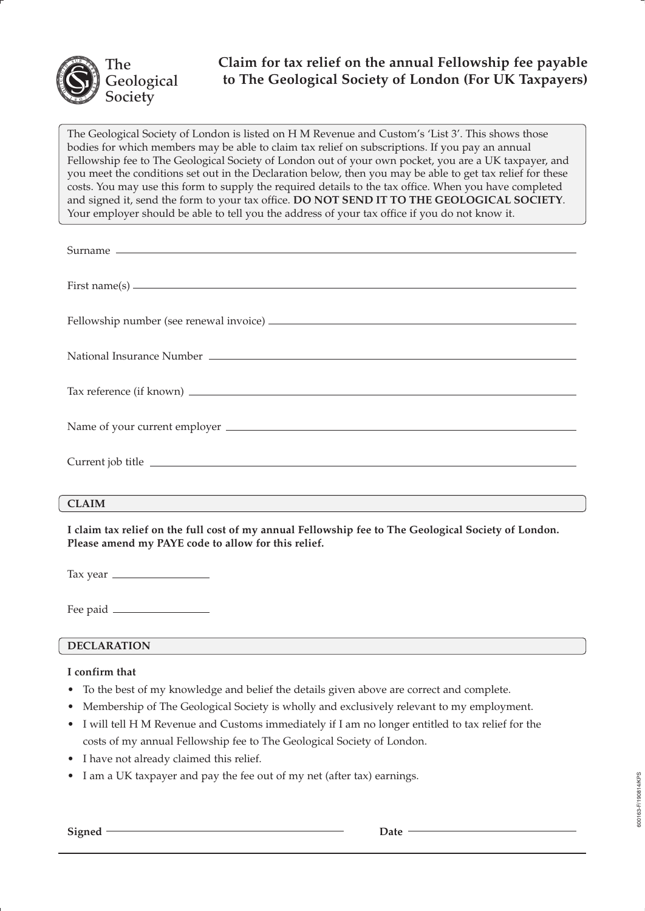

# **Claim for tax relief on the annual Fellowship fee payable to The Geological Society of London (For UK Taxpayers)**

The Geological Society of London is listed on H M Revenue and Custom's 'List 3'. This shows those bodies for which members may be able to claim tax relief on subscriptions. If you pay an annual Fellowship fee to The Geological Society of London out of your own pocket, you are a UK taxpayer, and you meet the conditions set out in the Declaration below, then you may be able to get tax relief for these costs. You may use this form to supply the required details to the tax office. When you have completed and signed it, send the form to your tax office. **DO NOT SEND IT TO THE GEOLOGICAL SOCIETY**. Your employer should be able to tell you the address of your tax office if you do not know it.

| First name(s) $\qquad \qquad$ |
|-------------------------------|
|                               |
|                               |
|                               |
|                               |
| Current job title             |
| <b>CLAIM</b>                  |

**I claim tax relief on the full cost of my annual Fellowship fee to The Geological Society of London. Please amend my PAYE code to allow for this relief.**

Tax year

Fee paid  $\equiv$ 

# **DECLARATION**

# **I confirm that**

- To the best of my knowledge and belief the details given above are correct and complete.
- Membership of The Geological Society is wholly and exclusively relevant to my employment.
- I will tell H M Revenue and Customs immediately if I am no longer entitled to tax relief for the costs of my annual Fellowship fee to The Geological Society of London.
- I have not already claimed this relief.
- I am a UK taxpayer and pay the fee out of my net (after tax) earnings.

Signed <del>Date</del> Date  $\overline{\phantom{a}}$